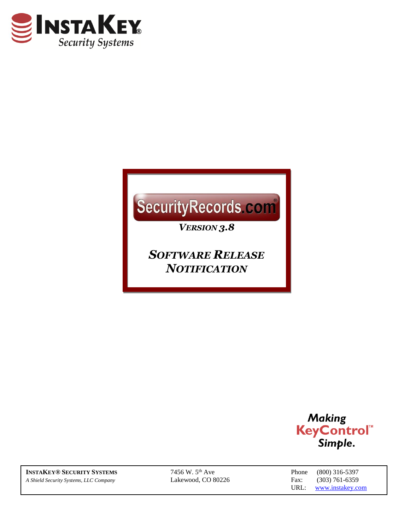

# SecurityRecords.com

*VERSION 3.8*

*SOFTWARE RELEASE NOTIFICATION*



**INSTAKEY® SECURITY SYSTEMS** 7456 W. 5<sup>th</sup> Ave Phone (800) 316-5397 *A Shield Security Systems, LLC Company* Lakewood, CO 80226 Fax: (303) 761-6359

URL: [www.instakey.com](http://www.instakey.com/)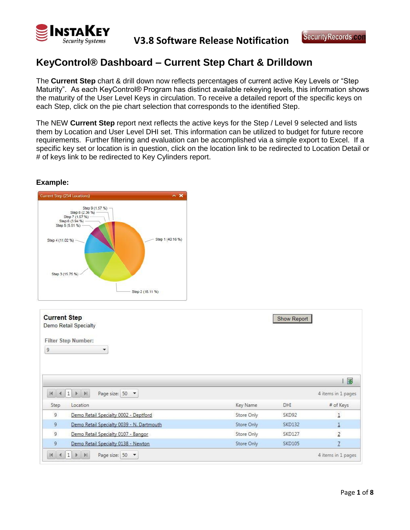

## **KeyControl® Dashboard – Current Step Chart & Drilldown**

The **Current Step** chart & drill down now reflects percentages of current active Key Levels or "Step Maturity". As each KeyControl® Program has distinct available rekeying levels, this information shows the maturity of the User Level Keys in circulation. To receive a detailed report of the specific keys on each Step, click on the pie chart selection that corresponds to the identified Step.

The NEW **Current Step** report next reflects the active keys for the Step / Level 9 selected and lists them by Location and User Level DHI set. This information can be utilized to budget for future recore requirements. Further filtering and evaluation can be accomplished via a simple export to Excel. If a specific key set or location is in question, click on the location link to be redirected to Location Detail or # of keys link to be redirected to Key Cylinders report.



**Current Step Show Report** Demo Retail Specialty **Filter Step Number:** 9 ÷ | 图  $M$  4 1  $M$ Page size: 50 -4 items in 1 pages DHI Step Location Key Name # of Keys  $\overline{9}$ Demo Retail Specialty 0002 - Deptford Store Only SKD92  $\mathbf{1}$ 9 **SKD132** Demo Retail Specialty 0039 - N. Dartmouth Store Only  $\overline{1}$  $\mathsf{g}$ Demo Retail Specialty 0107 - Bangor Store Only **SKD127**  $\overline{2}$  $\overline{9}$ Demo Retail Specialty 0138 - Newton Store Only **SKD105**  $\overline{1}$  $\begin{array}{c|c|c|c|c|c|c|c|c} \hline \multicolumn{3}{|c|}{\mathbb{H}} & \multicolumn{3}{|c|}{\mathbb{H}} & \multicolumn{3}{|c|}{\mathbb{H}} & \multicolumn{3}{|c|}{\mathbb{H}} \\ \hline \multicolumn{3}{|c|}{\mathbb{H}} & \multicolumn{3}{|c|}{\mathbb{H}} & \multicolumn{3}{|c|}{\mathbb{H}} & \multicolumn{3}{|c|}{\mathbb{H}} & \multicolumn{3}{|c|}{\mathbb{H}} \\ \hline \multicolumn{3}{|c|}{\mathbb{H}} & \multicolumn{3}{|$ 4 items in 1 pages Page size: 50 -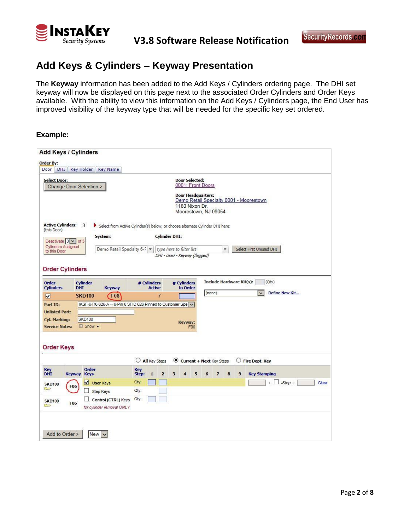

# **Add Keys & Cylinders – Keyway Presentation**

The **Keyway** information has been added to the Add Keys / Cylinders ordering page. The DHI set keyway will now be displayed on this page next to the associated Order Cylinders and Order Keys available. With the ability to view this information on the Add Keys / Cylinders page, the End User has improved visibility of the keyway type that will be needed for the specific key set ordered.

| Door<br><b>DHI</b>                                                    |                                                                                              |                                 |                         |                                                                     |     |        |                          |                      |    |                                         |
|-----------------------------------------------------------------------|----------------------------------------------------------------------------------------------|---------------------------------|-------------------------|---------------------------------------------------------------------|-----|--------|--------------------------|----------------------|----|-----------------------------------------|
|                                                                       | Key Holder<br><b>Key Name</b>                                                                |                                 |                         |                                                                     |     |        |                          |                      |    |                                         |
| <b>Select Door:</b><br>Change Door Selection >                        |                                                                                              |                                 |                         | <b>Door Selected:</b><br>0001: Front Doors                          |     |        |                          |                      |    |                                         |
|                                                                       |                                                                                              |                                 |                         | <b>Door Headquarters:</b><br>1180 Nixon Dr.<br>Moorestown, NJ 08054 |     |        |                          |                      |    | Demo Retail Specialty 0001 - Moorestown |
| <b>Active Cylinders:</b><br>(this Door)                               | 3<br>Select from Active Cylinder(s) below, or choose alternate Cylinder DHI here:<br>System: |                                 | <b>Cylinder DHI:</b>    |                                                                     |     |        |                          |                      |    |                                         |
| Deactivate $0 \vee$ of 3<br><b>Cylinders Assigned</b><br>to this Door | Demo Retail Specialty 6-F v                                                                  |                                 |                         | type here to filter list<br>DHI - Used - Keyway (flagged)           |     |        |                          | $\blacktriangledown$ |    | Select First Unused DHI                 |
| <b>Order Cylinders</b>                                                |                                                                                              |                                 |                         |                                                                     |     |        |                          |                      |    |                                         |
| Order<br><b>Cylinders</b><br><b>DHI</b>                               | <b>Cylinder</b><br>Keyway                                                                    | # Cylinders                     | <b>Active</b>           | # Cylinders<br>to Order                                             |     |        | Include Hardware Kit(s): |                      |    | (Qty)                                   |
| $\overline{\mathbf{v}}$                                               | <b>F06</b><br><b>SKD100</b>                                                                  |                                 | $\overline{7}$          |                                                                     |     | (none) |                          |                      |    | Define New Kit<br>$\checkmark$          |
| Part ID:                                                              | IKSF-6-R6-626-A -- 6-Pin 6 SFIC 626 Pinned to Customer Spe V                                 |                                 |                         |                                                                     |     |        |                          |                      |    |                                         |
|                                                                       |                                                                                              |                                 |                         |                                                                     |     |        |                          |                      |    |                                         |
|                                                                       |                                                                                              |                                 |                         |                                                                     |     |        |                          |                      |    |                                         |
| <b>Unlisted Part:</b>                                                 |                                                                                              |                                 |                         |                                                                     |     |        |                          |                      |    |                                         |
| Cyl. Marking:<br><b>Service Notes:</b>                                | <b>SKD100</b><br>$\boxplus$ Show $\blacktriangleright$                                       |                                 |                         | Keyway:                                                             | F06 |        |                          |                      |    |                                         |
| <b>Order Keys</b>                                                     |                                                                                              | $\circ$<br><b>All</b> Key Steps |                         |                                                                     |     |        |                          |                      | O. | <b>Fire Dept. Key</b>                   |
| Key<br><b>DHI</b><br><b>Keyway Keys</b>                               | Order                                                                                        | Key<br>Step:<br>$\mathbf{1}$    | $\overline{\mathbf{2}}$ | Current + Next Key Steps<br>3<br>4                                  | 5   | 6      | $\overline{7}$           | 8                    | 9  | <b>Key Stamping</b>                     |
|                                                                       |                                                                                              | Qty:                            |                         |                                                                     |     |        |                          |                      |    | $. Step +$<br>Clear                     |
| <b>SKD100</b><br><b>F06</b><br>$\sum$                                 | User Keys<br>Step Keys                                                                       | Qty:                            |                         |                                                                     |     |        |                          |                      |    |                                         |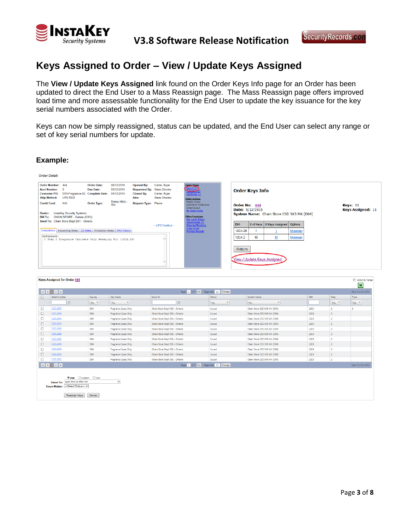

## **Keys Assigned to Order – View / Update Keys Assigned**

The **View / Update Keys Assigned** link found on the Order Keys Info page for an Order has been updated to direct the End User to a Mass Reassign page. The Mass Reassign page offers improved load time and more assessable functionality for the End User to update the key issuance for the key serial numbers associated with the Order.

Keys can now be simply reassigned, status can be updated, and the End User can select any range or set of key serial numbers for update.

| <b>Order Detail</b>                                                                                                                                                                                                                                                                                                                                                                                                        |                                                                                                                                                                                   |  |                                                                                       |                                                                                |                                                                                                                                                                                 |                                                                                                                                                 |                                 |    |                                             |                             |  |                      |  |
|----------------------------------------------------------------------------------------------------------------------------------------------------------------------------------------------------------------------------------------------------------------------------------------------------------------------------------------------------------------------------------------------------------------------------|-----------------------------------------------------------------------------------------------------------------------------------------------------------------------------------|--|---------------------------------------------------------------------------------------|--------------------------------------------------------------------------------|---------------------------------------------------------------------------------------------------------------------------------------------------------------------------------|-------------------------------------------------------------------------------------------------------------------------------------------------|---------------------------------|----|---------------------------------------------|-----------------------------|--|----------------------|--|
| Order Number: 444<br><b>Order Date:</b><br>05/12/2015<br><b>Acct Number:</b><br>05/12/2015<br><b>Due Date:</b><br>- 0<br><b>Customer PO:</b><br>D01-Fragrance-S2 Complete Date: 05/12/2015<br><b>UPS RED</b><br><b>Ship Method:</b><br>Attn:<br>Rekey Kit(s) -<br><b>Credit Card:</b><br>N/A<br><b>Order Type:</b><br>Std<br><b>InstaKey Security Systems</b><br>Dealer:<br>CHAIN STORE - Outlets (CSO)<br><b>Bill To:</b> |                                                                                                                                                                                   |  | <b>Opened By:</b><br><b>Requested By:</b><br><b>Closed By:</b><br>Request Type: Phone | Carter, Rvan<br><b>Store Director</b><br>Carter, Ryan<br><b>Store Director</b> | <b>Order Items</b><br>Kevs(11)<br>Hardware (1)<br><b>Order Actions</b><br>Modify Order<br>Submit to Production<br>OrderClosed<br><b>Re-Open Order</b><br><b>Other Functions</b> | <b>Order Keys Info</b><br>Order No: 444<br>Keys: 11<br><b>Keys Assigned: 11</b><br>Date: 5/12/2015<br>System Name: Chain Store CSD 5X5 MK (D04) |                                 |    |                                             |                             |  |                      |  |
| Reference:                                                                                                                                                                                                                                                                                                                                                                                                                 | Send To: Chain Store Dept D01 - Ontario<br>Instructions   Accounting Notes   CS Notes   Production Notes   MAS History<br>1 Step 2 Fragrance Cabinets Only Rekeying Kit (12CA.2S) |  |                                                                                       |                                                                                | --- UPS Verified---                                                                                                                                                             | Key Level Status<br>Attachments (0)<br>ShipmentTracking<br>Clone Order<br>Preview Reports                                                       | DHI<br><b>12CA.2S</b><br>12CA.2 | 10 | # of Keys   # Keys Assigned   Options<br>10 | <b>Unassign</b><br>Unassign |  |                      |  |
|                                                                                                                                                                                                                                                                                                                                                                                                                            |                                                                                                                                                                                   |  |                                                                                       |                                                                                |                                                                                                                                                                                 |                                                                                                                                                 | Return                          |    | View / Update Keys Assigned                 |                             |  |                      |  |
| <b>Keys Assigned for Order 444</b>                                                                                                                                                                                                                                                                                                                                                                                         |                                                                                                                                                                                   |  |                                                                                       |                                                                                |                                                                                                                                                                                 |                                                                                                                                                 |                                 |    |                                             |                             |  | Select By Range<br>ञ |  |

|        |                                                                                                                                                                                                                                                                                              |                   |                                    |                                      |                          |                              |      |                | تستنا              |
|--------|----------------------------------------------------------------------------------------------------------------------------------------------------------------------------------------------------------------------------------------------------------------------------------------------|-------------------|------------------------------------|--------------------------------------|--------------------------|------------------------------|------|----------------|--------------------|
|        | $\mathbb{R} \left[ \begin{array}{c c} \mathbb{R} & \mathbb{R} & \mathbb{R} \\ \hline \mathbb{R} & \mathbb{R} & \mathbb{R} \end{array} \right] \rightarrow \left[ \begin{array}{c c} \mathbb{R} & \mathbb{R} & \mathbb{R} \\ \hline \mathbb{R} & \mathbb{R} & \mathbb{R} \end{array} \right]$ |                   |                                    | Page: 1 of 1 Go Page size: 11 Change |                          |                              |      |                | Item 1 to 11 of 11 |
| □      | Serial Number                                                                                                                                                                                                                                                                                | Keyway            | Key Name                           | Issue To                             | Status                   | System Name                  | DHI  | Step           | Type               |
|        | $\mathbf{Y}$                                                                                                                                                                                                                                                                                 | ALL <b>*</b>      | <b>ALL</b><br>$\blacktriangledown$ | Y                                    | <b>ALL</b><br>$\check{}$ | <b>ALL</b><br>$\check{}$     |      | ALL *          | ALL *              |
| □      | D2911841                                                                                                                                                                                                                                                                                     | D04               | <b>Fragrance Cases Only</b>        | Chain Store Dept D01 - Ontario       | Issued                   | Chain Store CSD 5X5 MK (D04) | 12CA | $\mathcal{D}$  | s                  |
| $\Box$ | D2911842                                                                                                                                                                                                                                                                                     | D <sub>04</sub>   | <b>Fragrance Cases Only</b>        | Chain Store Dept D01 - Ontario       | Issued                   | Chain Store CSD 5X5 MK (D04) | 12CA | $\overline{2}$ |                    |
|        | D2911843                                                                                                                                                                                                                                                                                     | D04               | <b>Fragrance Cases Only</b>        | Chain Store Dept D01 - Ontario       | Issued                   | Chain Store CSD 5X5 MK (D04) | 12CA | $\overline{2}$ |                    |
| $\Box$ | D2911844                                                                                                                                                                                                                                                                                     | D <sub>04</sub>   | <b>Fragrance Cases Only</b>        | Chain Store Dept D01 - Ontario       | Issued                   | Chain Store CSD 5X5 MK (D04) | 12CA | $\overline{2}$ |                    |
| $\Box$ | D2911845                                                                                                                                                                                                                                                                                     | D <sub>04</sub>   | <b>Fragrance Cases Only</b>        | Chain Store Dept D01 - Ontario       | Issued                   | Chain Store CSD 5X5 MK (D04) | 12CA | $\overline{2}$ |                    |
| $\Box$ | D2911846                                                                                                                                                                                                                                                                                     | D <sub>04</sub>   | <b>Fragrance Cases Only</b>        | Chain Store Dept D01 - Ontario       | Issued                   | Chain Store CSD 5X5 MK (D04) | 12CA |                |                    |
| $\Box$ | D2911847                                                                                                                                                                                                                                                                                     | D04               | <b>Fragrance Cases Only</b>        | Chain Store Dept D01 - Ontario       | Issued                   | Chain Store CSD 5X5 MK (D04) | 12CA | $\overline{2}$ |                    |
| $\Box$ | D2911848                                                                                                                                                                                                                                                                                     | D <sub>04</sub>   | <b>Fragrance Cases Only</b>        | Chain Store Dept D01 - Ontario       | Issued                   | Chain Store CSD 5X5 MK (D04) | 12CA | $\overline{2}$ |                    |
| $\Box$ | D2911849                                                                                                                                                                                                                                                                                     | D04               | <b>Fragrance Cases Only</b>        | Chain Store Dept D01 - Ontario       | Issued                   | Chain Store CSD 5X5 MK (D04) | 12CA | $\overline{2}$ |                    |
| $\Box$ | D2911850                                                                                                                                                                                                                                                                                     | D <sub>04</sub>   | <b>Fragrance Cases Only</b>        | Chain Store Dept D01 - Ontario       | Issued                   | Chain Store CSD 5X5 MK (D04) | 12CA | $\overline{2}$ |                    |
|        | D2911851                                                                                                                                                                                                                                                                                     | D <sub>04</sub>   | Fragrance Cases Only               | Chain Store Dept D01 - Ontario       | Issued                   | Chain Store CSD 5X5 MK (D04) | 12CA | $\overline{2}$ |                    |
|        |                                                                                                                                                                                                                                                                                              |                   |                                    | Page: 1 of 1 Go Page size: 11 Change |                          |                              |      |                | Item 1 to 11 of 11 |
|        |                                                                                                                                                                                                                                                                                              |                   |                                    |                                      |                          |                              |      |                |                    |
|        | $O$ Location<br>⊙ <sub>User</sub>                                                                                                                                                                                                                                                            | $O_{\text{Door}}$ |                                    |                                      |                          |                              |      |                |                    |
|        | type here to filter list<br><b>Issue To:</b>                                                                                                                                                                                                                                                 |                   | $\overline{\phantom{a}}$           |                                      |                          |                              |      |                |                    |
|        | Issue Status: -- Select Status--- V                                                                                                                                                                                                                                                          |                   |                                    |                                      |                          |                              |      |                |                    |
|        |                                                                                                                                                                                                                                                                                              |                   |                                    |                                      |                          |                              |      |                |                    |
|        | Reassign Keys                                                                                                                                                                                                                                                                                | Cancel            |                                    |                                      |                          |                              |      |                |                    |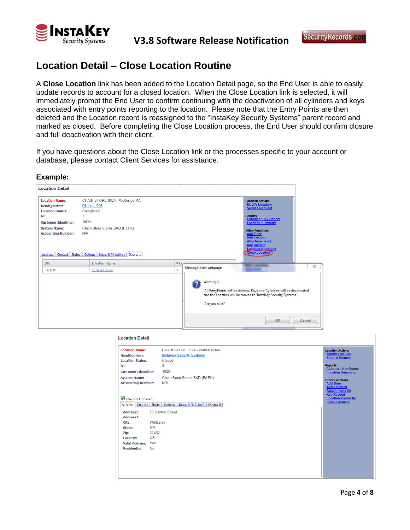

## **Location Detail – Close Location Routine**

A **Close Location** link has been added to the Location Detail page, so the End User is able to easily update records to account for a closed location. When the Close Location link is selected, it will immediately prompt the End User to confirm continuing with the deactivation of all cylinders and keys associated with entry points reporting to the location. Please note that the Entry Points are then deleted and the Location record is reassigned to the "InstaKey Security Systems" parent record and marked as closed. Before completing the Close Location process, the End User should confirm closure and full deactivation with their client.

If you have questions about the Close Location link or the processes specific to your account or database, please contact Client Services for assistance.



| <b>Location Name:</b><br><b>HeadQuarters:</b><br><b>Location Status:</b> | CHAIN STORE 0024 - Wellesley MA<br><b>InstaKey Security Systems</b><br>Closed | <b>Location Actions</b><br><b>Modify Location</b><br><b>Service Request</b>                                      |
|--------------------------------------------------------------------------|-------------------------------------------------------------------------------|------------------------------------------------------------------------------------------------------------------|
| lvl:<br><b>Customer Identifier:</b>                                      | 3<br>0024                                                                     | <b>Reports</b><br><b>Cylinder / Key Report</b><br><b>Location Summary</b>                                        |
| <b>System Name:</b><br><b>Accounting Number:</b>                         | Chain Store Stores SKD (FJ,FK)<br>N/A                                         | <b>Other Functions</b><br><b>Add Door</b><br><b>Add Location</b><br><b>Attachments (0)</b><br><b>Key Receipt</b> |
| Record Updated!                                                          | Address   Contact   Notes   Options   Keys: 8 (0 Active)   Doors: 0           | <b>Location Hierarchy</b><br><b>Close Location</b>                                                               |
| Address1:                                                                | <b>73 Central Street</b>                                                      |                                                                                                                  |
| Address <sub>2</sub> :<br>City:                                          | Wellesley                                                                     |                                                                                                                  |
| State:                                                                   | MA                                                                            |                                                                                                                  |
| Zip:                                                                     | 02482                                                                         |                                                                                                                  |
| <b>Country:</b>                                                          | <b>US</b>                                                                     |                                                                                                                  |
| <b>Valid Address:</b>                                                    | Yes                                                                           |                                                                                                                  |
| <b>Residential:</b>                                                      | No                                                                            |                                                                                                                  |
|                                                                          |                                                                               |                                                                                                                  |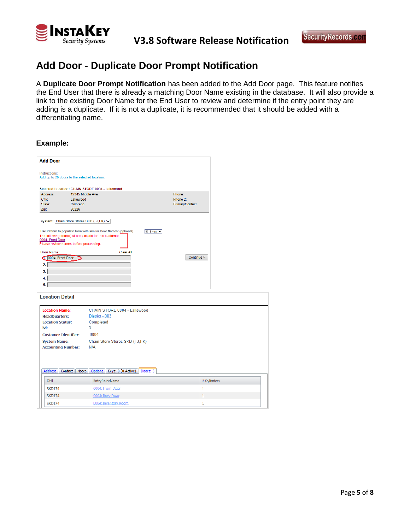

# **Add Door - Duplicate Door Prompt Notification**

A **Duplicate Door Prompt Notification** has been added to the Add Door page. This feature notifies the End User that there is already a matching Door Name existing in the database. It will also provide a link to the existing Door Name for the End User to review and determine if the entry point they are adding is a duplicate. If it is not a duplicate, it is recommended that it should be added with a differentiating name.

| <b>Add Door</b>                                                       |                                                |                 |
|-----------------------------------------------------------------------|------------------------------------------------|-----------------|
|                                                                       |                                                |                 |
| Instructions:                                                         | Add up to 20 doors to the selected location.   |                 |
|                                                                       |                                                |                 |
|                                                                       | Selected Location: CHAIN STORE 0004 - Lakewood |                 |
| Address:                                                              | 12345 Middle Ave                               | Phone:          |
| City:<br>State:                                                       | Lakewood<br>Colorado                           | Phone 2:        |
| Zip:                                                                  | 80226                                          | PrimaryContact: |
| Door Name:<br>J. 0004: Front Door<br>$\overline{2}$<br>3.<br>4.<br>5. | <b>Clear All</b>                               | Continue >      |
| <b>Location Detail</b>                                                |                                                |                 |
| <b>Location Name:</b>                                                 | CHAIN STORE 0004 - Lakewood                    |                 |
| <b>HeadQuarters:</b>                                                  | District - 003                                 |                 |
| <b>Location Status:</b>                                               | Completed                                      |                 |
| lvl:                                                                  | 3                                              |                 |
|                                                                       |                                                |                 |

| <b>Location Status:</b>     | Completed                                                           |             |
|-----------------------------|---------------------------------------------------------------------|-------------|
| $ v $ :                     | 3                                                                   |             |
| <b>Customer Identifier:</b> | 0004                                                                |             |
| <b>System Name:</b>         | Chain Store Stores SKD (FJ,FK)                                      |             |
| <b>Accounting Number:</b>   | N/A                                                                 |             |
|                             |                                                                     |             |
|                             | Address   Contact   Notes   Options   Keys: 0 (0 Active)   Doors: 3 |             |
| <b>DHI</b>                  | <b>EntryPointName</b>                                               | # Cylinders |
| <b>SKD174</b>               | 0004: Front Door                                                    | 1           |
| <b>SKD174</b>               | 0004: Back Door                                                     | ÷           |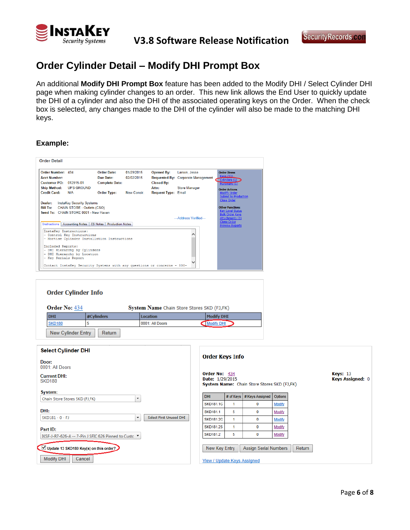

## **Order Cylinder Detail – Modify DHI Prompt Box**

An additional **Modify DHI Prompt Box** feature has been added to the Modify DHI / Select Cylinder DHI page when making cylinder changes to an order. This new link allows the End User to quickly update the DHI of a cylinder and also the DHI of the associated operating keys on the Order. When the check box is selected, any changes made to the DHI of the cylinder will also be made to the matching DHI keys.

| <b>Order Detail</b>                                      |                                                                                                                                                |                                                          |                          |                                        |                                                            |                                                                                                                                                |
|----------------------------------------------------------|------------------------------------------------------------------------------------------------------------------------------------------------|----------------------------------------------------------|--------------------------|----------------------------------------|------------------------------------------------------------|------------------------------------------------------------------------------------------------------------------------------------------------|
| Order Number: 434<br><b>Acct Number:</b><br>Customer PO: | 012915-01                                                                                                                                      | <b>Order Date:</b><br>Due Date:<br><b>Complete Date:</b> | 01/29/2015<br>02/02/2015 | <b>Opened By:</b><br><b>Closed By:</b> | Larson, Jesse<br><b>Requested By: Corporate Management</b> | <b>Order Ttems</b><br>Kevs(13)<br>$C$ vlinders $(5)$<br>Haroware (1)                                                                           |
| <b>Ship Method:</b><br><b>Credit Card:</b>               | <b>UPS GROUND</b><br>N/A                                                                                                                       | <b>Order Type:</b>                                       | New Constr.              | Attn:<br><b>Request Type: Email</b>    | <b>Store Manager</b>                                       | <b>Order Actions</b><br><b>Modify Order</b><br><b>Submit to Production</b><br><b>Close Order</b>                                               |
| Dealer:<br><b>Instructions</b>                           | <b>InstaKey Security Systems</b><br>Bill To: CHAIN STORE - Outlets (CSO)<br>Send To: CHAIN STORE 0001 - New Haven<br>Accounting Notes CS Notes | <b>Production Notes</b>                                  |                          |                                        | --- Address Verified---                                    | <b>Other Functions</b><br><b>Key Level Status</b><br><b>Bulk Order Kevs</b><br>Attachments (0)<br><b>Clone Order</b><br><b>Preview Reports</b> |
| InstaKey Instructions:                                   | - Control Key Instructions<br>- Mortise Cylinder Installation Instructions                                                                     |                                                          |                          |                                        | ∧                                                          |                                                                                                                                                |
| Included Reports:<br>- Key Serials Report                | - DHI Hierarchy by Cylinders<br>- DHI Hierarchy by Location                                                                                    |                                                          |                          |                                        |                                                            |                                                                                                                                                |
|                                                          | Contact InstaKev Security Systems with any questions or concerns - 800-                                                                        |                                                          |                          |                                        |                                                            |                                                                                                                                                |

| <b>Order Cylinder Info</b> |                 |                                            |
|----------------------------|-----------------|--------------------------------------------|
|                            |                 |                                            |
| #Cvlinders                 | Location        | <b>Modify DHI</b>                          |
|                            | 0001: All Doors | Modify DHI                                 |
|                            |                 | System Name Chain Store Stores SKD (FJ,FK) |

| <b>Select Cylinder DHI</b>                                            | <b>Order Keys Info</b>                              |   |                                             |               |                                            |
|-----------------------------------------------------------------------|-----------------------------------------------------|---|---------------------------------------------|---------------|--------------------------------------------|
| Door:<br>0001: All Doors                                              |                                                     |   |                                             |               |                                            |
| <b>Current DHI:</b><br><b>SKD180</b>                                  | Order No: 434<br>Date: 1/29/2015                    |   | System Name: Chain Store Stores SKD (FJ,FK) |               | <b>Keys: 13</b><br><b>Keys Assigned: 0</b> |
| System:<br>$\overline{\phantom{a}}$                                   | DHI.                                                |   | # of Keys # Keys Assigned                   | Options       |                                            |
| Chain Store Stores SKD (FJ,FK)                                        | <b>SKD181.1C</b>                                    |   | 0                                           | <b>Modify</b> |                                            |
| DHI:                                                                  | <b>SKD181.1</b>                                     | 5 | 0                                           | Modify        |                                            |
| $\overline{\mathbf{v}}$<br>Select First Unused DHI<br>SKD181 - 0 - FJ | SKD181.2C                                           |   | 0                                           | <b>Modify</b> |                                            |
| Part ID:                                                              | <b>SKD181.2S</b>                                    | 1 | $\mathbf 0$                                 | Modify        |                                            |
| IKSF-J-R7-626-A -- 7-Pin J SFIC 626 Pinned to Custc ▼                 | <b>SKD181.2</b>                                     | 5 | 0                                           | Modify        |                                            |
| Update 13 SKD180 Key(s) on this order?<br><b>Modify DHI</b><br>Cancel | New Key Entry<br><b>View / Update Keys Assigned</b> |   | <b>Assign Serial Numbers</b>                |               | Return                                     |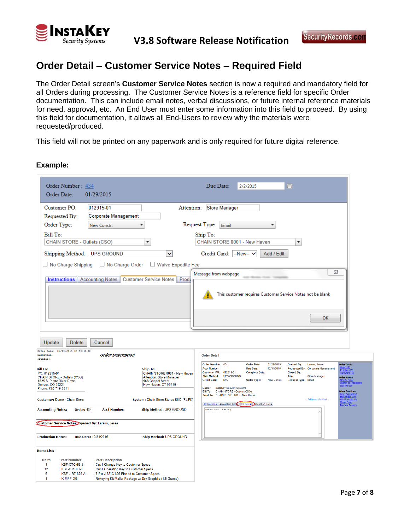

## **Order Detail – Customer Service Notes – Required Field**

The Order Detail screen's **Customer Service Notes** section is now a required and mandatory field for all Orders during processing. The Customer Service Notes is a reference field for specific Order documentation. This can include email notes, verbal discussions, or future internal reference materials for need, approval, etc. An End User must enter some information into this field to proceed. By using this field for documentation, it allows all End-Users to review why the materials were requested/produced.

This field will not be printed on any paperwork and is only required for future digital reference.

| Order Number: 434<br>Order Date:<br>01/29/2015                                                                                                                                                                                                                                                                                                                                   | Due Date:<br>2/2/2015<br>囲                                                                                                                                                                                                                                                                                                                                                                                                                                                                                                                                                                                                                                                                                                                                      |
|----------------------------------------------------------------------------------------------------------------------------------------------------------------------------------------------------------------------------------------------------------------------------------------------------------------------------------------------------------------------------------|-----------------------------------------------------------------------------------------------------------------------------------------------------------------------------------------------------------------------------------------------------------------------------------------------------------------------------------------------------------------------------------------------------------------------------------------------------------------------------------------------------------------------------------------------------------------------------------------------------------------------------------------------------------------------------------------------------------------------------------------------------------------|
| Customer PO:<br>012915-01<br>Attention:                                                                                                                                                                                                                                                                                                                                          | <b>Store Manager</b>                                                                                                                                                                                                                                                                                                                                                                                                                                                                                                                                                                                                                                                                                                                                            |
| Requested By:<br><b>Corporate Management</b>                                                                                                                                                                                                                                                                                                                                     |                                                                                                                                                                                                                                                                                                                                                                                                                                                                                                                                                                                                                                                                                                                                                                 |
| Order Type:<br>▼<br>New Constr.                                                                                                                                                                                                                                                                                                                                                  | Request Type: Email<br>$\overline{\mathbf v}$                                                                                                                                                                                                                                                                                                                                                                                                                                                                                                                                                                                                                                                                                                                   |
| Bill To:<br>CHAIN STORE - Outlets (CSO)<br>$\overline{\phantom{a}}$                                                                                                                                                                                                                                                                                                              | Ship To:<br>CHAIN STORE 0001 - New Haven<br>$\overline{\phantom{a}}$                                                                                                                                                                                                                                                                                                                                                                                                                                                                                                                                                                                                                                                                                            |
| Shipping Method: UPS GROUND<br>×                                                                                                                                                                                                                                                                                                                                                 | Credit Card:<br>$-New-$<br>Add / Edit                                                                                                                                                                                                                                                                                                                                                                                                                                                                                                                                                                                                                                                                                                                           |
| No Charge Order<br>Waive Expedite Fee<br>$\Box$ No Charge Shipping                                                                                                                                                                                                                                                                                                               |                                                                                                                                                                                                                                                                                                                                                                                                                                                                                                                                                                                                                                                                                                                                                                 |
|                                                                                                                                                                                                                                                                                                                                                                                  | 23<br>Message from webpage                                                                                                                                                                                                                                                                                                                                                                                                                                                                                                                                                                                                                                                                                                                                      |
| <b>Instructions</b>   Accounting Notes   Customer Service Notes   Produ                                                                                                                                                                                                                                                                                                          | This customer requires Customer Service Notes not be blank                                                                                                                                                                                                                                                                                                                                                                                                                                                                                                                                                                                                                                                                                                      |
|                                                                                                                                                                                                                                                                                                                                                                                  | ок                                                                                                                                                                                                                                                                                                                                                                                                                                                                                                                                                                                                                                                                                                                                                              |
| Update<br>Delete<br>Cancel                                                                                                                                                                                                                                                                                                                                                       |                                                                                                                                                                                                                                                                                                                                                                                                                                                                                                                                                                                                                                                                                                                                                                 |
| Order Date: 01/29/2015 09:58:11 AM<br><b>Order Description</b><br>Submitted:                                                                                                                                                                                                                                                                                                     | <b>Order Detail</b>                                                                                                                                                                                                                                                                                                                                                                                                                                                                                                                                                                                                                                                                                                                                             |
| Printed:<br><b>Bill To:</b><br><b>Ship To:</b><br>CHAIN STORE 0001 - New Haven<br>PO: 012915-01<br>CHAIN STORE - Outlets (CSO)<br>Attention: Store Manager<br>1825 S. Platte River Drive<br>968 Chapel Street<br>New Haven, CT 06410<br>Denver, CO 80221<br>Phone: 720-719-8811<br><b>Customer: Demo - Chain Store</b><br>System: Chain Store Stores SKD (FJ,FK)                 | Order Number: 434<br><b>Order Date:</b><br>01/29/2015<br><b>Opened By:</b><br>Larson, Jesse<br>Order Items<br><b>Acct Number:</b><br><b>Due Date:</b><br>12/31/2016<br>Requested By: Corporate Management<br>012915-01<br><b>Customer PO:</b><br><b>Complete Date:</b><br><b>Closed By:</b><br>rdware (1)<br><b>UPS GROUND</b><br><b>Ship Method:</b><br>Attn:<br><b>Store Manager</b><br><b>Order Actions</b><br><b>Request Type: Email</b><br><b>Credit Card:</b><br><b>N/A</b><br><b>Order Type:</b><br>New Constr.<br>lose Order<br>Dealer: InstaKey Security Systems<br>Bill To: CHAIN STORE - Outlets (CSO)<br><b>Other Functions</b><br>Send To: CHAIN STORE 0001 - New Haven<br><u>: Lever Stati</u><br>< Order Kev<br>--- Address Verified---<br>ts (0 |
| <b>Accounting Notes:</b><br><b>Order: 434</b><br><b>Acct Number:</b><br>Ship Method: UPS GROUND                                                                                                                                                                                                                                                                                  | Instructions   Accounting Note   CS Notes   Production Notes<br><b>Preview Reports</b><br>Notes for Testing                                                                                                                                                                                                                                                                                                                                                                                                                                                                                                                                                                                                                                                     |
| Customer Service Notes: Opened By: Larson, Jesse<br><b>Production Notes:</b><br>Due Date: 12/31/2016                                                                                                                                                                                                                                                                             |                                                                                                                                                                                                                                                                                                                                                                                                                                                                                                                                                                                                                                                                                                                                                                 |
| Ship Method: UPS GROUND                                                                                                                                                                                                                                                                                                                                                          |                                                                                                                                                                                                                                                                                                                                                                                                                                                                                                                                                                                                                                                                                                                                                                 |
| <b>Items List:</b>                                                                                                                                                                                                                                                                                                                                                               |                                                                                                                                                                                                                                                                                                                                                                                                                                                                                                                                                                                                                                                                                                                                                                 |
| <b>Units</b><br><b>Part Description</b><br><b>Part Number</b><br>$\mathbf{1}$<br><b>IKSF-CTCHG-J</b><br>Cut J Change Key to Customer Specs<br>12<br>Cut J Operating Key to Customer Specs<br><b>IKSF-CTSTD-J</b><br>5<br><b>IKSF-J-R7-626-A</b><br>7-Pin J SFIC 626 Pinned to Customer Specs<br>1<br><b>IK-MPF-DG</b><br>Rekeying Kit Mailer Package w/ Dry Graphite (1.5 Grams) |                                                                                                                                                                                                                                                                                                                                                                                                                                                                                                                                                                                                                                                                                                                                                                 |